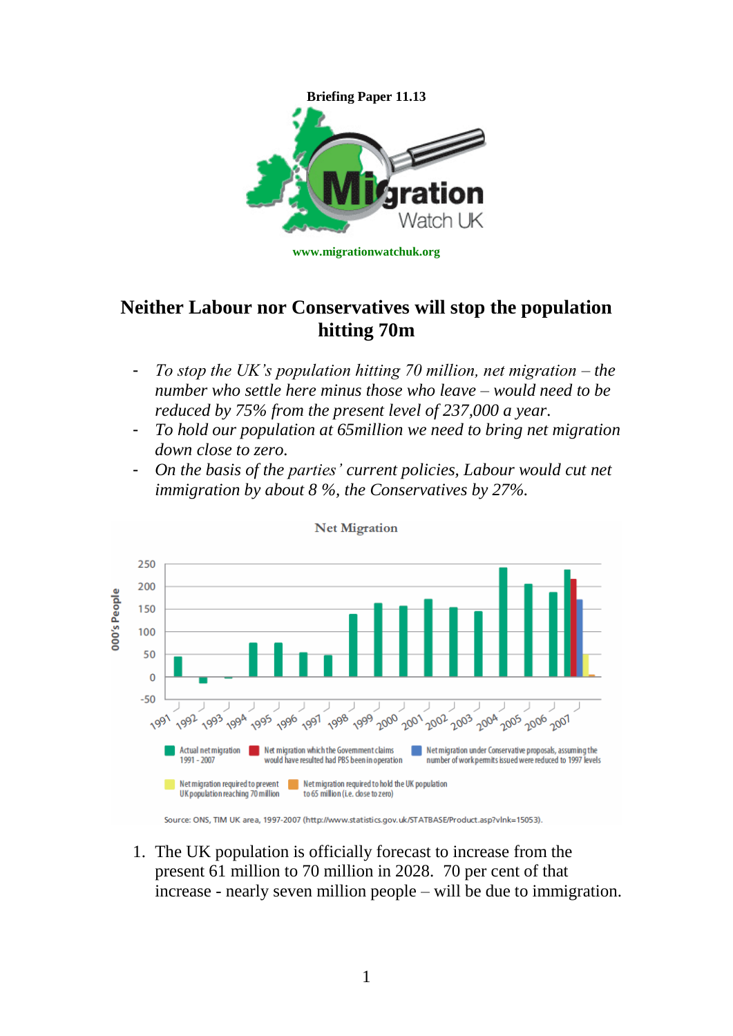

## **Neither Labour nor Conservatives will stop the population hitting 70m**

- *To stop the UK's population hitting 70 million, net migration – the number who settle here minus those who leave – would need to be reduced by 75% from the present level of 237,000 a year.*
- *To hold our population at 65million we need to bring net migration down close to zero.*
- *On the basis of the parties' current policies, Labour would cut net immigration by about 8 %, the Conservatives by 27%.*



1. The UK population is officially forecast to increase from the present 61 million to 70 million in 2028. 70 per cent of that increase - nearly seven million people – will be due to immigration.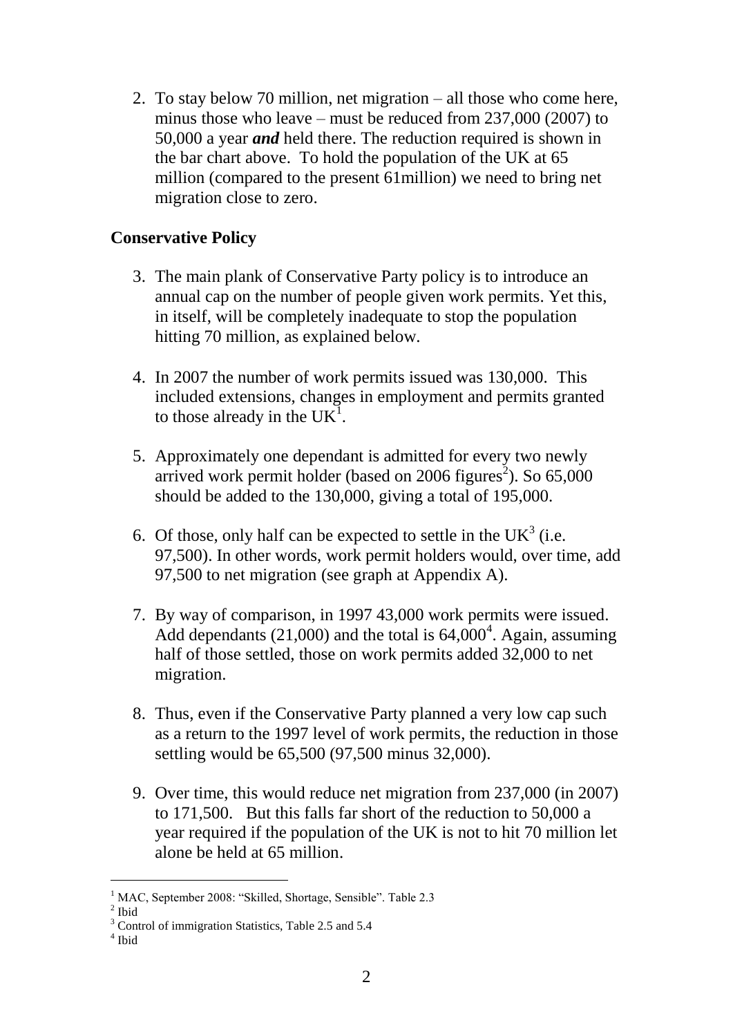2. To stay below 70 million, net migration – all those who come here, minus those who leave – must be reduced from 237,000 (2007) to 50,000 a year *and* held there. The reduction required is shown in the bar chart above. To hold the population of the UK at 65 million (compared to the present 61million) we need to bring net migration close to zero.

## **Conservative Policy**

- 3. The main plank of Conservative Party policy is to introduce an annual cap on the number of people given work permits. Yet this, in itself, will be completely inadequate to stop the population hitting 70 million, as explained below.
- 4. In 2007 the number of work permits issued was 130,000. This included extensions, changes in employment and permits granted to those already in the  $UK^1$ .
- 5. Approximately one dependant is admitted for every two newly arrived work permit holder (based on  $2006$  figures<sup>2</sup>). So  $65,000$ should be added to the 130,000, giving a total of 195,000.
- 6. Of those, only half can be expected to settle in the UK<sup>3</sup> (i.e. 97,500). In other words, work permit holders would, over time, add 97,500 to net migration (see graph at Appendix A).
- 7. By way of comparison, in 1997 43,000 work permits were issued. Add dependants  $(21,000)$  and the total is  $64,000^4$ . Again, assuming half of those settled, those on work permits added 32,000 to net migration.
- 8. Thus, even if the Conservative Party planned a very low cap such as a return to the 1997 level of work permits, the reduction in those settling would be 65,500 (97,500 minus 32,000).
- 9. Over time, this would reduce net migration from 237,000 (in 2007) to 171,500. But this falls far short of the reduction to 50,000 a year required if the population of the UK is not to hit 70 million let alone be held at 65 million.

 $\overline{a}$ <sup>1</sup> MAC, September 2008: "Skilled, Shortage, Sensible". Table 2.3

 $<sup>2</sup>$  Ibid</sup>

<sup>&</sup>lt;sup>3</sup> Control of immigration Statistics, Table 2.5 and 5.4

<sup>4</sup> Ibid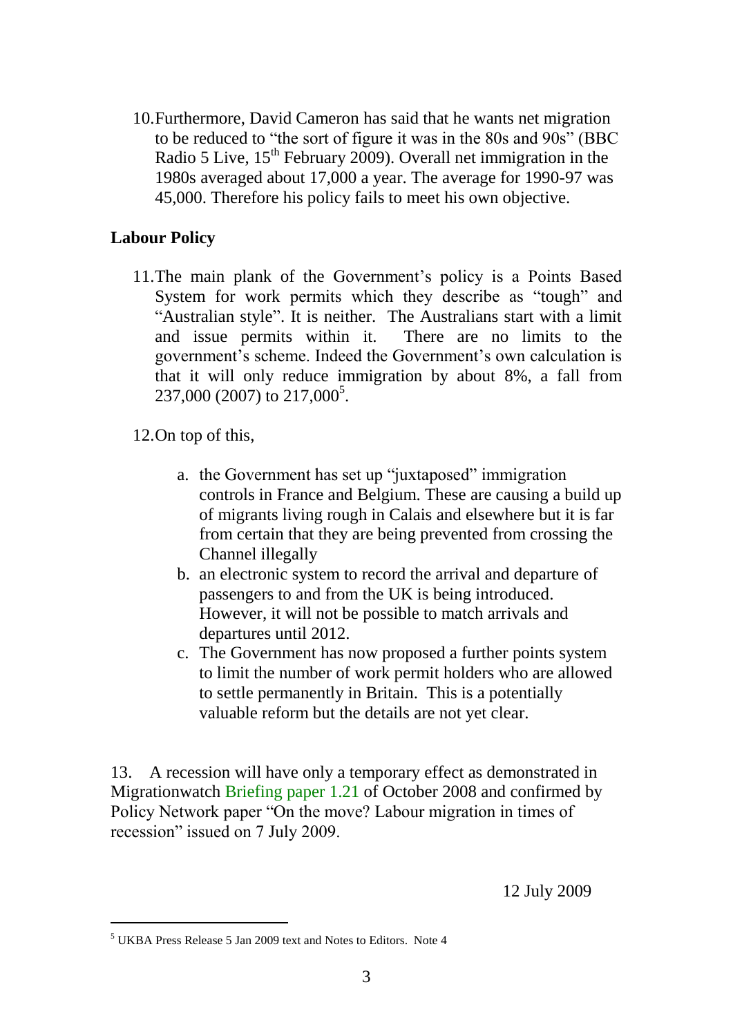10.Furthermore, David Cameron has said that he wants net migration to be reduced to "the sort of figure it was in the 80s and 90s" (BBC Radio 5 Live,  $15<sup>th</sup>$  February 2009). Overall net immigration in the 1980s averaged about 17,000 a year. The average for 1990-97 was 45,000. Therefore his policy fails to meet his own objective.

## **Labour Policy**

11.The main plank of the Government's policy is a Points Based System for work permits which they describe as "tough" and "Australian style". It is neither. The Australians start with a limit and issue permits within it. There are no limits to the government's scheme. Indeed the Government's own calculation is that it will only reduce immigration by about 8%, a fall from  $237,000$  (2007) to  $217,000^5$ .

12.On top of this,

- a. the Government has set up "juxtaposed" immigration controls in France and Belgium. These are causing a build up of migrants living rough in Calais and elsewhere but it is far from certain that they are being prevented from crossing the Channel illegally
- b. an electronic system to record the arrival and departure of passengers to and from the UK is being introduced. However, it will not be possible to match arrivals and departures until 2012.
- c. The Government has now proposed a further points system to limit the number of work permit holders who are allowed to settle permanently in Britain. This is a potentially valuable reform but the details are not yet clear.

13. A recession will have only a temporary effect as demonstrated in Migrationwatch [Briefing paper](http://www.migrationwatchuk.com/briefingPaper/document/23) 1.21 of October 2008 and confirmed by Policy Network paper "On the move? Labour migration in times of recession" issued on 7 July 2009.

12 July 2009

 $\overline{a}$ 

<sup>5</sup> UKBA Press Release 5 Jan 2009 text and Notes to Editors. Note 4